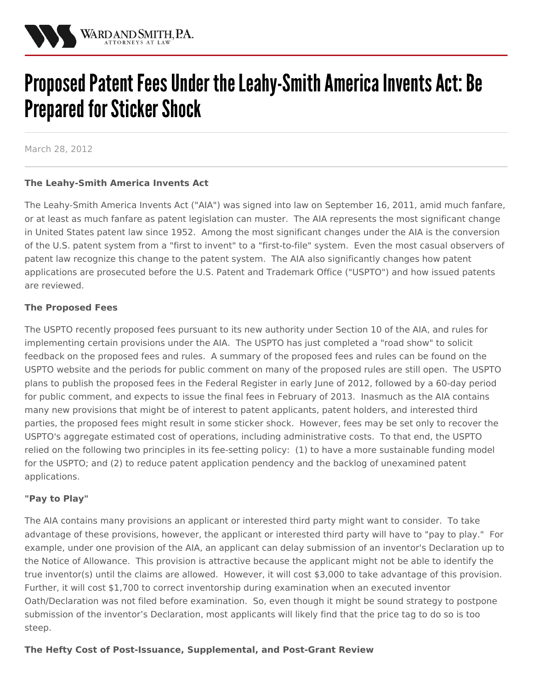

# Proposed Patent Fees Under the Leahy-Smith America Invents Act: Be **Prepared for Sticker Shock**

March 28, 2012

### **The Leahy-Smith America Invents Act**

The Leahy-Smith America Invents Act ("AIA") was signed into law on September 16, 2011, amid much fanfare, or at least as much fanfare as patent legislation can muster. The AIA represents the most significant change in United States patent law since 1952. Among the most significant changes under the AIA is the conversion of the U.S. patent system from a "first to invent" to a "first-to-file" system. Even the most casual observers of patent law recognize this change to the patent system. The AIA also significantly changes how patent applications are prosecuted before the U.S. Patent and Trademark Office ("USPTO") and how issued patents are reviewed.

#### **The Proposed Fees**

The USPTO recently proposed fees pursuant to its new authority under Section 10 of the AIA, and rules for implementing certain provisions under the AIA. The USPTO has just completed a "road show" to solicit feedback on the proposed fees and rules. A summary of the proposed fees and rules can be found on the USPTO website and the periods for public comment on many of the proposed rules are still open. The USPTO plans to publish the proposed fees in the Federal Register in early June of 2012, followed by a 60-day period for public comment, and expects to issue the final fees in February of 2013. Inasmuch as the AIA contains many new provisions that might be of interest to patent applicants, patent holders, and interested third parties, the proposed fees might result in some sticker shock. However, fees may be set only to recover the USPTO's aggregate estimated cost of operations, including administrative costs. To that end, the USPTO relied on the following two principles in its fee-setting policy: (1) to have a more sustainable funding model for the USPTO; and (2) to reduce patent application pendency and the backlog of unexamined patent applications.

#### **"Pay to Play"**

The AIA contains many provisions an applicant or interested third party might want to consider. To take advantage of these provisions, however, the applicant or interested third party will have to "pay to play." For example, under one provision of the AIA, an applicant can delay submission of an inventor's Declaration up to the Notice of Allowance. This provision is attractive because the applicant might not be able to identify the true inventor(s) until the claims are allowed. However, it will cost \$3,000 to take advantage of this provision. Further, it will cost \$1,700 to correct inventorship during examination when an executed inventor Oath/Declaration was not filed before examination. So, even though it might be sound strategy to postpone submission of the inventor's Declaration, most applicants will likely find that the price tag to do so is too steep.

#### **The Hefty Cost of Post-Issuance, Supplemental, and Post-Grant Review**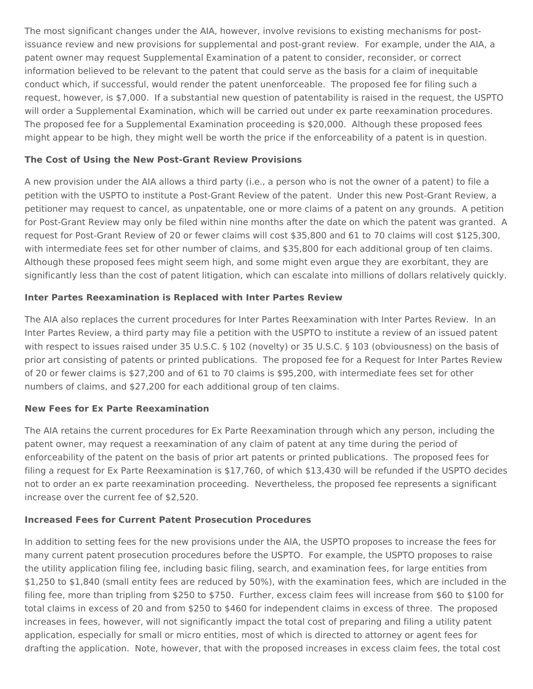The most significant changes under the AIA, however, involve revisions to existing mechanisms for postissuance review and new provisions for supplemental and post-grant review. For example, under the AIA, a patent owner may request Supplemental Examination of a patent to consider, reconsider, or correct information believed to be relevant to the patent that could serve as the basis for a claim of inequitable conduct which, if successful, would render the patent unenforceable. The proposed fee for filing such a request, however, is \$7,000. If a substantial new question of patentability is raised in the request, the USPTO will order a Supplemental Examination, which will be carried out under ex parte reexamination procedures. The proposed fee for a Supplemental Examination proceeding is \$20,000. Although these proposed fees might appear to be high, they might well be worth the price if the enforceability of a patent is in question.

## **The Cost of Using the New Post-Grant Review Provisions**

A new provision under the AIA allows a third party (i.e., a person who is not the owner of a patent) to file a petition with the USPTO to institute a Post-Grant Review of the patent. Under this new Post-Grant Review, a petitioner may request to cancel, as unpatentable, one or more claims of a patent on any grounds. A petition for Post-Grant Review may only be filed within nine months after the date on which the patent was granted. A request for Post-Grant Review of 20 or fewer claims will cost \$35,800 and 61 to 70 claims will cost \$125,300, with intermediate fees set for other number of claims, and \$35,800 for each additional group of ten claims. Although these proposed fees might seem high, and some might even argue they are exorbitant, they are significantly less than the cost of patent litigation, which can escalate into millions of dollars relatively quickly.

## **Inter Partes Reexamination is Replaced with Inter Partes Review**

The AIA also replaces the current procedures for Inter Partes Reexamination with Inter Partes Review. In an Inter Partes Review, a third party may file a petition with the USPTO to institute a review of an issued patent with respect to issues raised under 35 U.S.C. § 102 (novelty) or 35 U.S.C. § 103 (obviousness) on the basis of prior art consisting of patents or printed publications. The proposed fee for a Request for Inter Partes Review of 20 or fewer claims is \$27,200 and of 61 to 70 claims is \$95,200, with intermediate fees set for other numbers of claims, and \$27,200 for each additional group of ten claims.

### **New Fees for Ex Parte Reexamination**

The AIA retains the current procedures for Ex Parte Reexamination through which any person, including the patent owner, may request a reexamination of any claim of patent at any time during the period of enforceability of the patent on the basis of prior art patents or printed publications. The proposed fees for filing a request for Ex Parte Reexamination is \$17,760, of which \$13,430 will be refunded if the USPTO decides not to order an ex parte reexamination proceeding. Nevertheless, the proposed fee represents a significant increase over the current fee of \$2,520.

# **Increased Fees for Current Patent Prosecution Procedures**

In addition to setting fees for the new provisions under the AIA, the USPTO proposes to increase the fees for many current patent prosecution procedures before the USPTO. For example, the USPTO proposes to raise the utility application filing fee, including basic filing, search, and examination fees, for large entities from \$1,250 to \$1,840 (small entity fees are reduced by 50%), with the examination fees, which are included in the filing fee, more than tripling from \$250 to \$750. Further, excess claim fees will increase from \$60 to \$100 for total claims in excess of 20 and from \$250 to \$460 for independent claims in excess of three. The proposed increases in fees, however, will not significantly impact the total cost of preparing and filing a utility patent application, especially for small or micro entities, most of which is directed to attorney or agent fees for drafting the application. Note, however, that with the proposed increases in excess claim fees, the total cost